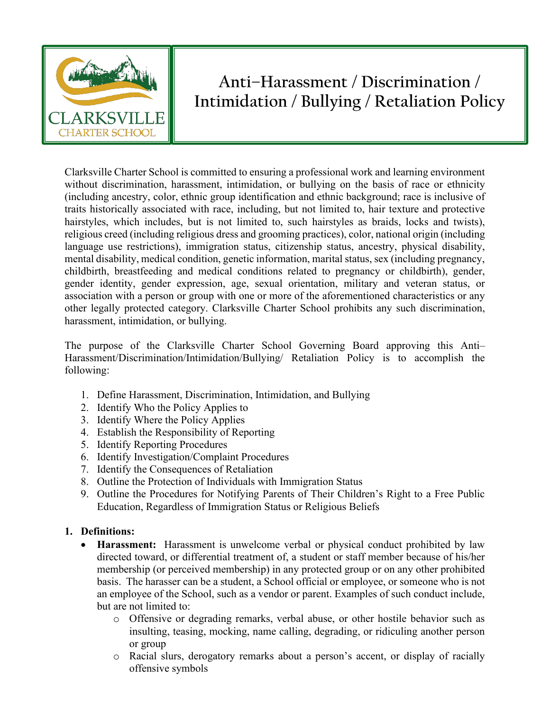

## **Anti–Harassment / Discrimination / Intimidation / Bullying / Retaliation Policy**

Clarksville Charter School is committed to ensuring a professional work and learning environment without discrimination, harassment, intimidation, or bullying on the basis of race or ethnicity (including ancestry, color, ethnic group identification and ethnic background; race is inclusive of traits historically associated with race, including, but not limited to, hair texture and protective hairstyles, which includes, but is not limited to, such hairstyles as braids, locks and twists), religious creed (including religious dress and grooming practices), color, national origin (including language use restrictions), immigration status, citizenship status, ancestry, physical disability, mental disability, medical condition, genetic information, marital status, sex (including pregnancy, childbirth, breastfeeding and medical conditions related to pregnancy or childbirth), gender, gender identity, gender expression, age, sexual orientation, military and veteran status, or association with a person or group with one or more of the aforementioned characteristics or any other legally protected category. Clarksville Charter School prohibits any such discrimination, harassment, intimidation, or bullying.

The purpose of the Clarksville Charter School Governing Board approving this Anti– Harassment/Discrimination/Intimidation/Bullying/ Retaliation Policy is to accomplish the following:

- 1. Define Harassment, Discrimination, Intimidation, and Bullying
- 2. Identify Who the Policy Applies to
- 3. Identify Where the Policy Applies
- 4. Establish the Responsibility of Reporting
- 5. Identify Reporting Procedures
- 6. Identify Investigation/Complaint Procedures
- 7. Identify the Consequences of Retaliation
- 8. Outline the Protection of Individuals with Immigration Status
- 9. Outline the Procedures for Notifying Parents of Their Children's Right to a Free Public Education, Regardless of Immigration Status or Religious Beliefs

## **1. Definitions:**

- **Harassment:** Harassment is unwelcome verbal or physical conduct prohibited by law directed toward, or differential treatment of, a student or staff member because of his/her membership (or perceived membership) in any protected group or on any other prohibited basis. The harasser can be a student, a School official or employee, or someone who is not an employee of the School, such as a vendor or parent. Examples of such conduct include, but are not limited to:
	- o Offensive or degrading remarks, verbal abuse, or other hostile behavior such as insulting, teasing, mocking, name calling, degrading, or ridiculing another person or group
	- o Racial slurs, derogatory remarks about a person's accent, or display of racially offensive symbols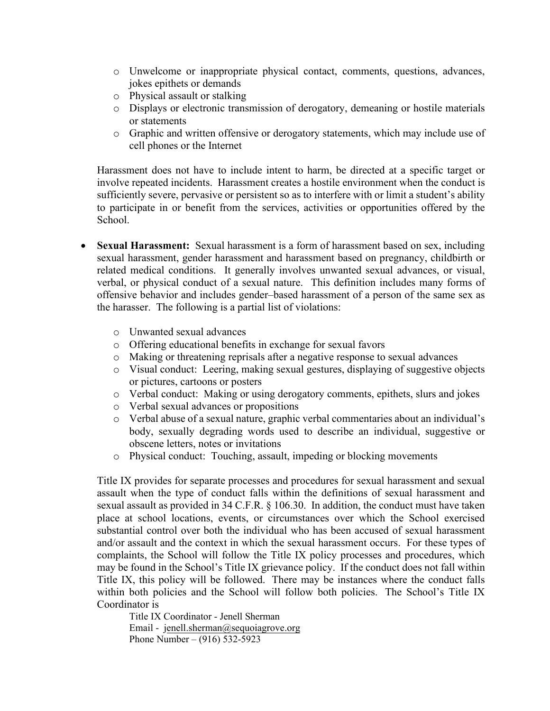- o Unwelcome or inappropriate physical contact, comments, questions, advances, jokes epithets or demands
- o Physical assault or stalking
- o Displays or electronic transmission of derogatory, demeaning or hostile materials or statements
- o Graphic and written offensive or derogatory statements, which may include use of cell phones or the Internet

Harassment does not have to include intent to harm, be directed at a specific target or involve repeated incidents. Harassment creates a hostile environment when the conduct is sufficiently severe, pervasive or persistent so as to interfere with or limit a student's ability to participate in or benefit from the services, activities or opportunities offered by the School.

- **Sexual Harassment:** Sexual harassment is a form of harassment based on sex, including sexual harassment, gender harassment and harassment based on pregnancy, childbirth or related medical conditions. It generally involves unwanted sexual advances, or visual, verbal, or physical conduct of a sexual nature. This definition includes many forms of offensive behavior and includes gender–based harassment of a person of the same sex as the harasser. The following is a partial list of violations:
	- o Unwanted sexual advances
	- o Offering educational benefits in exchange for sexual favors
	- o Making or threatening reprisals after a negative response to sexual advances
	- o Visual conduct: Leering, making sexual gestures, displaying of suggestive objects or pictures, cartoons or posters
	- o Verbal conduct: Making or using derogatory comments, epithets, slurs and jokes
	- o Verbal sexual advances or propositions
	- o Verbal abuse of a sexual nature, graphic verbal commentaries about an individual's body, sexually degrading words used to describe an individual, suggestive or obscene letters, notes or invitations
	- o Physical conduct: Touching, assault, impeding or blocking movements

Title IX provides for separate processes and procedures for sexual harassment and sexual assault when the type of conduct falls within the definitions of sexual harassment and sexual assault as provided in 34 C.F.R. § 106.30. In addition, the conduct must have taken place at school locations, events, or circumstances over which the School exercised substantial control over both the individual who has been accused of sexual harassment and/or assault and the context in which the sexual harassment occurs. For these types of complaints, the School will follow the Title IX policy processes and procedures, which may be found in the School's Title IX grievance policy. If the conduct does not fall within Title IX, this policy will be followed. There may be instances where the conduct falls within both policies and the School will follow both policies. The School's Title IX Coordinator is

Title IX Coordinator - Jenell Sherman Email - jenell.sherman@sequoiagrove.org Phone Number – (916) 532-5923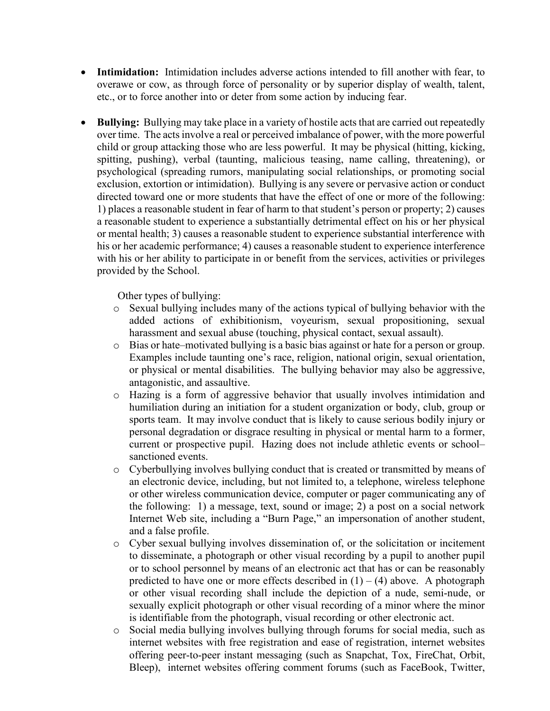- **Intimidation:** Intimidation includes adverse actions intended to fill another with fear, to overawe or cow, as through force of personality or by superior display of wealth, talent, etc., or to force another into or deter from some action by inducing fear.
- **Bullying:** Bullying may take place in a variety of hostile acts that are carried out repeatedly over time. The acts involve a real or perceived imbalance of power, with the more powerful child or group attacking those who are less powerful. It may be physical (hitting, kicking, spitting, pushing), verbal (taunting, malicious teasing, name calling, threatening), or psychological (spreading rumors, manipulating social relationships, or promoting social exclusion, extortion or intimidation). Bullying is any severe or pervasive action or conduct directed toward one or more students that have the effect of one or more of the following: 1) places a reasonable student in fear of harm to that student's person or property; 2) causes a reasonable student to experience a substantially detrimental effect on his or her physical or mental health; 3) causes a reasonable student to experience substantial interference with his or her academic performance; 4) causes a reasonable student to experience interference with his or her ability to participate in or benefit from the services, activities or privileges provided by the School.

Other types of bullying:

- $\circ$  Sexual bullying includes many of the actions typical of bullying behavior with the added actions of exhibitionism, voyeurism, sexual propositioning, sexual harassment and sexual abuse (touching, physical contact, sexual assault).
- o Bias or hate–motivated bullying is a basic bias against or hate for a person or group. Examples include taunting one's race, religion, national origin, sexual orientation, or physical or mental disabilities. The bullying behavior may also be aggressive, antagonistic, and assaultive.
- o Hazing is a form of aggressive behavior that usually involves intimidation and humiliation during an initiation for a student organization or body, club, group or sports team. It may involve conduct that is likely to cause serious bodily injury or personal degradation or disgrace resulting in physical or mental harm to a former, current or prospective pupil. Hazing does not include athletic events or school– sanctioned events.
- o Cyberbullying involves bullying conduct that is created or transmitted by means of an electronic device, including, but not limited to, a telephone, wireless telephone or other wireless communication device, computer or pager communicating any of the following: 1) a message, text, sound or image; 2) a post on a social network Internet Web site, including a "Burn Page," an impersonation of another student, and a false profile.
- o Cyber sexual bullying involves dissemination of, or the solicitation or incitement to disseminate, a photograph or other visual recording by a pupil to another pupil or to school personnel by means of an electronic act that has or can be reasonably predicted to have one or more effects described in  $(1) - (4)$  above. A photograph or other visual recording shall include the depiction of a nude, semi-nude, or sexually explicit photograph or other visual recording of a minor where the minor is identifiable from the photograph, visual recording or other electronic act.
- o Social media bullying involves bullying through forums for social media, such as internet websites with free registration and ease of registration, internet websites offering peer-to-peer instant messaging (such as Snapchat, Tox, FireChat, Orbit, Bleep), internet websites offering comment forums (such as FaceBook, Twitter,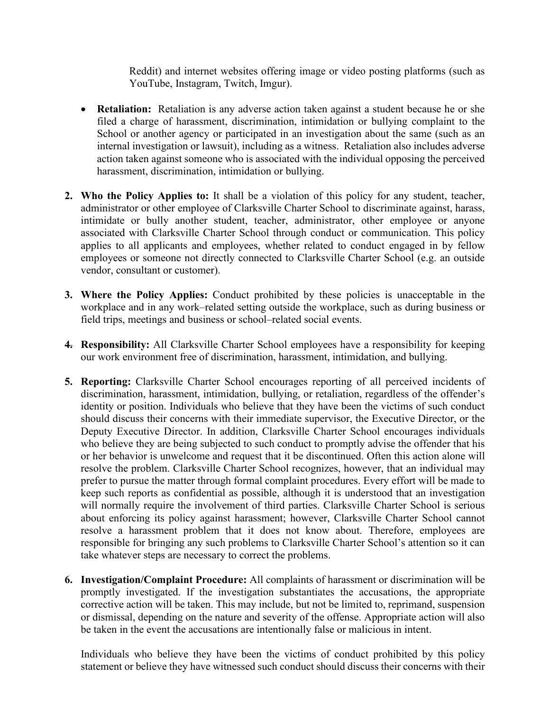Reddit) and internet websites offering image or video posting platforms (such as YouTube, Instagram, Twitch, Imgur).

- **Retaliation:** Retaliation is any adverse action taken against a student because he or she filed a charge of harassment, discrimination, intimidation or bullying complaint to the School or another agency or participated in an investigation about the same (such as an internal investigation or lawsuit), including as a witness. Retaliation also includes adverse action taken against someone who is associated with the individual opposing the perceived harassment, discrimination, intimidation or bullying.
- **2. Who the Policy Applies to:** It shall be a violation of this policy for any student, teacher, administrator or other employee of Clarksville Charter School to discriminate against, harass, intimidate or bully another student, teacher, administrator, other employee or anyone associated with Clarksville Charter School through conduct or communication. This policy applies to all applicants and employees, whether related to conduct engaged in by fellow employees or someone not directly connected to Clarksville Charter School (e.g. an outside vendor, consultant or customer).
- **3. Where the Policy Applies:** Conduct prohibited by these policies is unacceptable in the workplace and in any work–related setting outside the workplace, such as during business or field trips, meetings and business or school–related social events.
- **4. Responsibility:** All Clarksville Charter School employees have a responsibility for keeping our work environment free of discrimination, harassment, intimidation, and bullying.
- **5. Reporting:** Clarksville Charter School encourages reporting of all perceived incidents of discrimination, harassment, intimidation, bullying, or retaliation, regardless of the offender's identity or position. Individuals who believe that they have been the victims of such conduct should discuss their concerns with their immediate supervisor, the Executive Director, or the Deputy Executive Director. In addition, Clarksville Charter School encourages individuals who believe they are being subjected to such conduct to promptly advise the offender that his or her behavior is unwelcome and request that it be discontinued. Often this action alone will resolve the problem. Clarksville Charter School recognizes, however, that an individual may prefer to pursue the matter through formal complaint procedures. Every effort will be made to keep such reports as confidential as possible, although it is understood that an investigation will normally require the involvement of third parties. Clarksville Charter School is serious about enforcing its policy against harassment; however, Clarksville Charter School cannot resolve a harassment problem that it does not know about. Therefore, employees are responsible for bringing any such problems to Clarksville Charter School's attention so it can take whatever steps are necessary to correct the problems.
- **6. Investigation/Complaint Procedure:** All complaints of harassment or discrimination will be promptly investigated. If the investigation substantiates the accusations, the appropriate corrective action will be taken. This may include, but not be limited to, reprimand, suspension or dismissal, depending on the nature and severity of the offense. Appropriate action will also be taken in the event the accusations are intentionally false or malicious in intent.

Individuals who believe they have been the victims of conduct prohibited by this policy statement or believe they have witnessed such conduct should discuss their concerns with their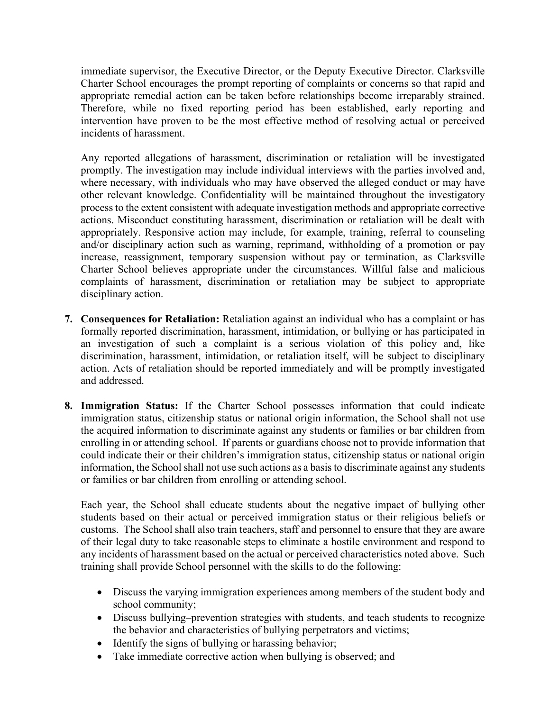immediate supervisor, the Executive Director, or the Deputy Executive Director. Clarksville Charter School encourages the prompt reporting of complaints or concerns so that rapid and appropriate remedial action can be taken before relationships become irreparably strained. Therefore, while no fixed reporting period has been established, early reporting and intervention have proven to be the most effective method of resolving actual or perceived incidents of harassment.

Any reported allegations of harassment, discrimination or retaliation will be investigated promptly. The investigation may include individual interviews with the parties involved and, where necessary, with individuals who may have observed the alleged conduct or may have other relevant knowledge. Confidentiality will be maintained throughout the investigatory process to the extent consistent with adequate investigation methods and appropriate corrective actions. Misconduct constituting harassment, discrimination or retaliation will be dealt with appropriately. Responsive action may include, for example, training, referral to counseling and/or disciplinary action such as warning, reprimand, withholding of a promotion or pay increase, reassignment, temporary suspension without pay or termination, as Clarksville Charter School believes appropriate under the circumstances. Willful false and malicious complaints of harassment, discrimination or retaliation may be subject to appropriate disciplinary action.

- **7. Consequences for Retaliation:** Retaliation against an individual who has a complaint or has formally reported discrimination, harassment, intimidation, or bullying or has participated in an investigation of such a complaint is a serious violation of this policy and, like discrimination, harassment, intimidation, or retaliation itself, will be subject to disciplinary action. Acts of retaliation should be reported immediately and will be promptly investigated and addressed.
- **8. Immigration Status:** If the Charter School possesses information that could indicate immigration status, citizenship status or national origin information, the School shall not use the acquired information to discriminate against any students or families or bar children from enrolling in or attending school. If parents or guardians choose not to provide information that could indicate their or their children's immigration status, citizenship status or national origin information, the School shall not use such actions as a basis to discriminate against any students or families or bar children from enrolling or attending school.

Each year, the School shall educate students about the negative impact of bullying other students based on their actual or perceived immigration status or their religious beliefs or customs. The School shall also train teachers, staff and personnel to ensure that they are aware of their legal duty to take reasonable steps to eliminate a hostile environment and respond to any incidents of harassment based on the actual or perceived characteristics noted above. Such training shall provide School personnel with the skills to do the following:

- Discuss the varying immigration experiences among members of the student body and school community;
- Discuss bullying–prevention strategies with students, and teach students to recognize the behavior and characteristics of bullying perpetrators and victims;
- Identify the signs of bullying or harassing behavior;
- Take immediate corrective action when bullying is observed; and